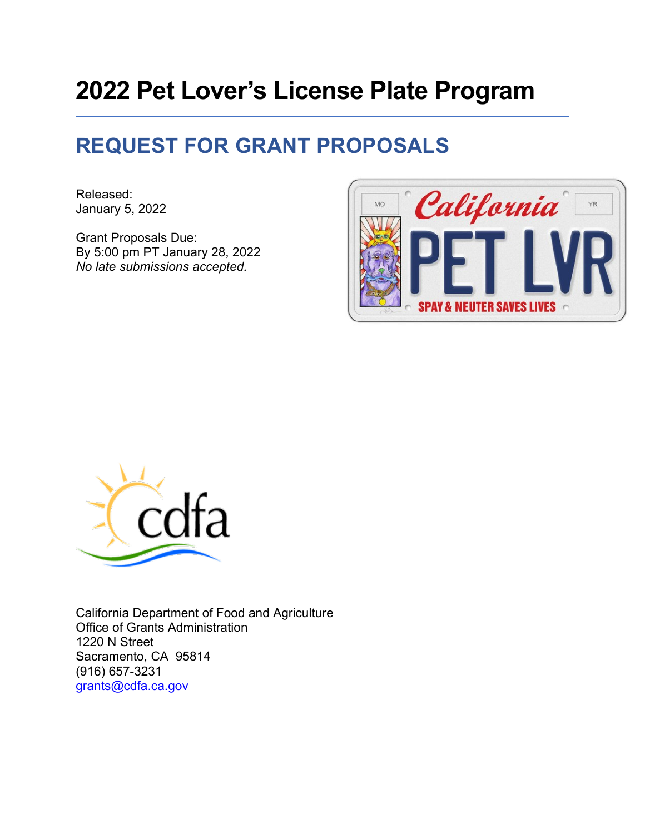# **2022 Pet Lover's License Plate Program**

# **REQUEST FOR GRANT PROPOSALS**

Released: January 5, 2022

Grant Proposals Due: By 5:00 pm PT January 28, 2022 *No late submissions accepted.*





California Department of Food and Agriculture Office of Grants Administration 1220 N Street Sacramento, CA 95814 (916) 657-3231 [grants@cdfa.ca.gov](mailto:grants@cdfa.ca.gov)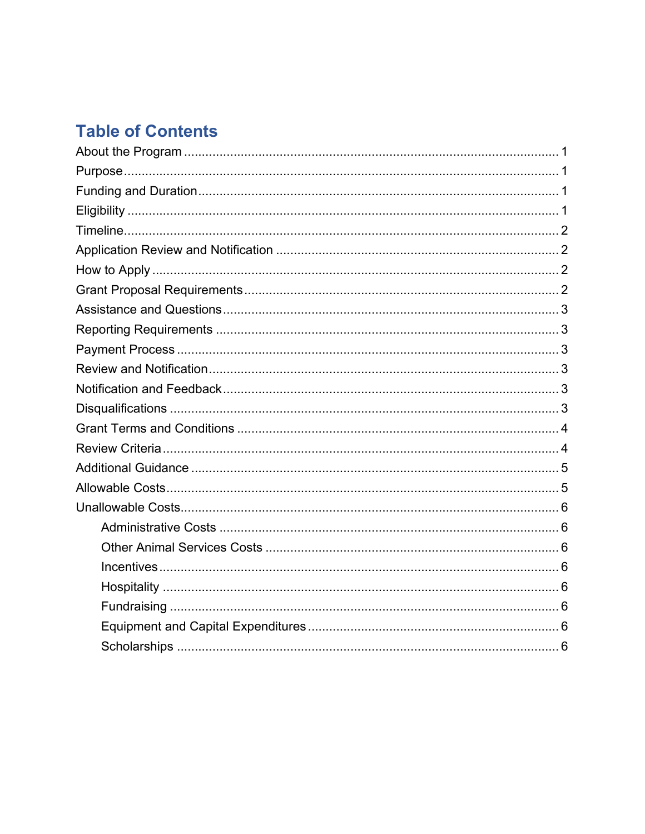# **Table of Contents**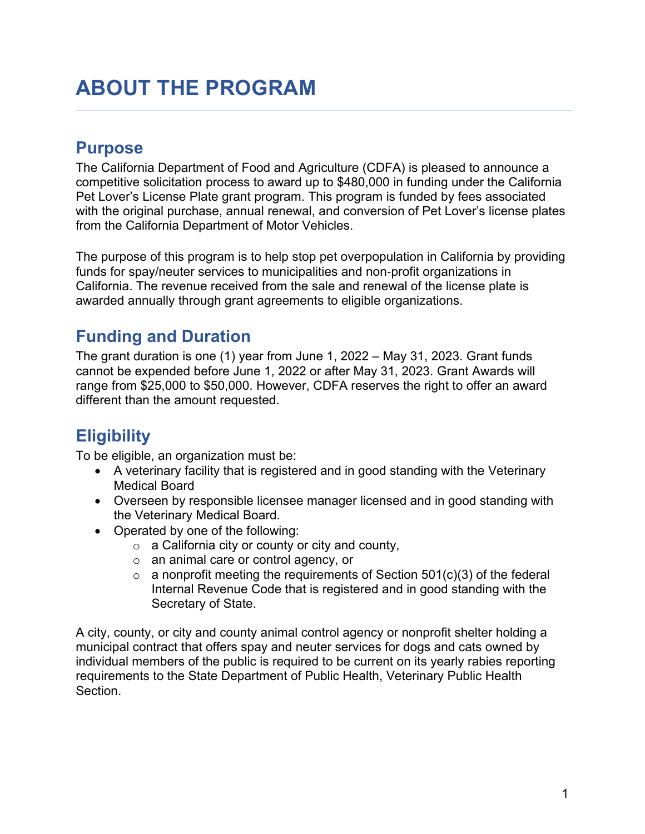# <span id="page-2-0"></span>**ABOUT THE PROGRAM**

### <span id="page-2-1"></span>**Purpose**

The California Department of Food and Agriculture (CDFA) is pleased to announce a competitive solicitation process to award up to \$480,000 in funding under the California Pet Lover's License Plate grant program. This program is funded by fees associated with the original purchase, annual renewal, and conversion of Pet Lover's license plates from the California Department of Motor Vehicles.

The purpose of this program is to help stop pet overpopulation in California by providing funds for spay/neuter services to municipalities and non‐profit organizations in California. The revenue received from the sale and renewal of the license plate is awarded annually through grant agreements to eligible organizations.

# <span id="page-2-2"></span>**Funding and Duration**

The grant duration is one (1) year from June 1, 2022 – May 31, 2023. Grant funds cannot be expended before June 1, 2022 or after May 31, 2023. Grant Awards will range from \$25,000 to \$50,000. However, CDFA reserves the right to offer an award different than the amount requested.

# <span id="page-2-3"></span>**Eligibility**

To be eligible, an organization must be:

- A veterinary facility that is registered and in good standing with the Veterinary Medical Board
- Overseen by responsible licensee manager licensed and in good standing with the Veterinary Medical Board.
- Operated by one of the following:
	- $\circ$  a California city or county or city and county,
	- o an animal care or control agency, or
	- $\circ$  a nonprofit meeting the requirements of Section 501(c)(3) of the federal Internal Revenue Code that is registered and in good standing with the Secretary of State.

A city, county, or city and county animal control agency or nonprofit shelter holding a municipal contract that offers spay and neuter services for dogs and cats owned by individual members of the public is required to be current on its yearly rabies reporting requirements to the State Department of Public Health, Veterinary Public Health Section.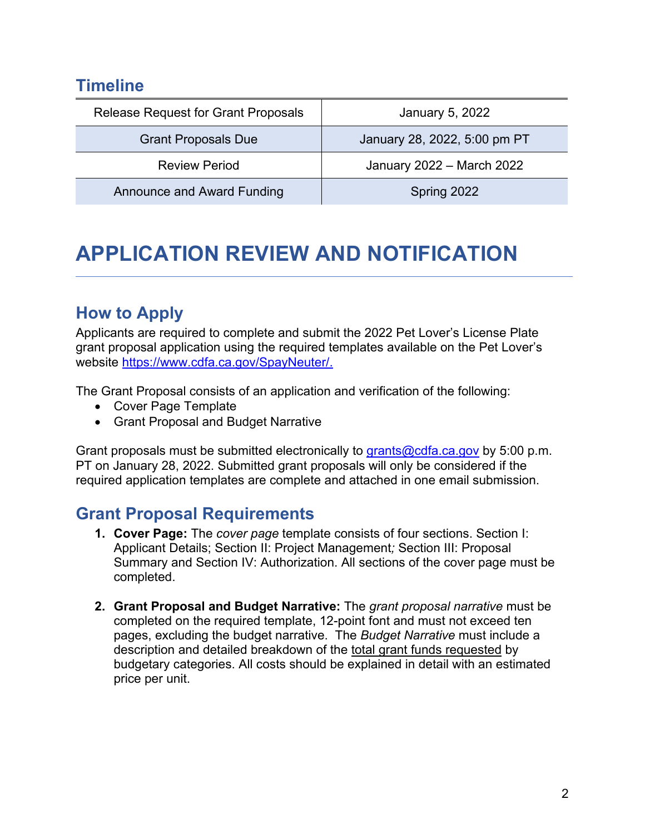### <span id="page-3-0"></span>**Timeline**

| <b>Release Request for Grant Proposals</b> | January 5, 2022              |
|--------------------------------------------|------------------------------|
| <b>Grant Proposals Due</b>                 | January 28, 2022, 5:00 pm PT |
| <b>Review Period</b>                       | January 2022 - March 2022    |
| <b>Announce and Award Funding</b>          | Spring 2022                  |

# <span id="page-3-1"></span>**APPLICATION REVIEW AND NOTIFICATION**

# <span id="page-3-2"></span>**How to Apply**

Applicants are required to complete and submit the 2022 Pet Lover's License Plate grant proposal application using the required templates available on the Pet Lover's website [https://www.cdfa.ca.gov/SpayNeuter/.](https://www.cdfa.ca.gov/SpayNeuter/)

The Grant Proposal consists of an application and verification of the following:

- Cover Page Template
- Grant Proposal and Budget Narrative

Grant proposals must be submitted electronically to [grants@cdfa.ca.gov](mailto:grants@cdfa.ca.gov) by 5:00 p.m. PT on January 28, 2022. Submitted grant proposals will only be considered if the required application templates are complete and attached in one email submission.

# <span id="page-3-3"></span>**Grant Proposal Requirements**

- **1. Cover Page:** The *cover page* template consists of four sections. Section I: Applicant Details; Section II: Project Management*;* Section III: Proposal Summary and Section IV: Authorization. All sections of the cover page must be completed.
- <span id="page-3-4"></span>**2. Grant Proposal and Budget Narrative:** The *grant proposal narrative* must be completed on the required template, 12-point font and must not exceed ten pages, excluding the budget narrative. The *Budget Narrative* must include a description and detailed breakdown of the total grant funds requested by budgetary categories. All costs should be explained in detail with an estimated price per unit.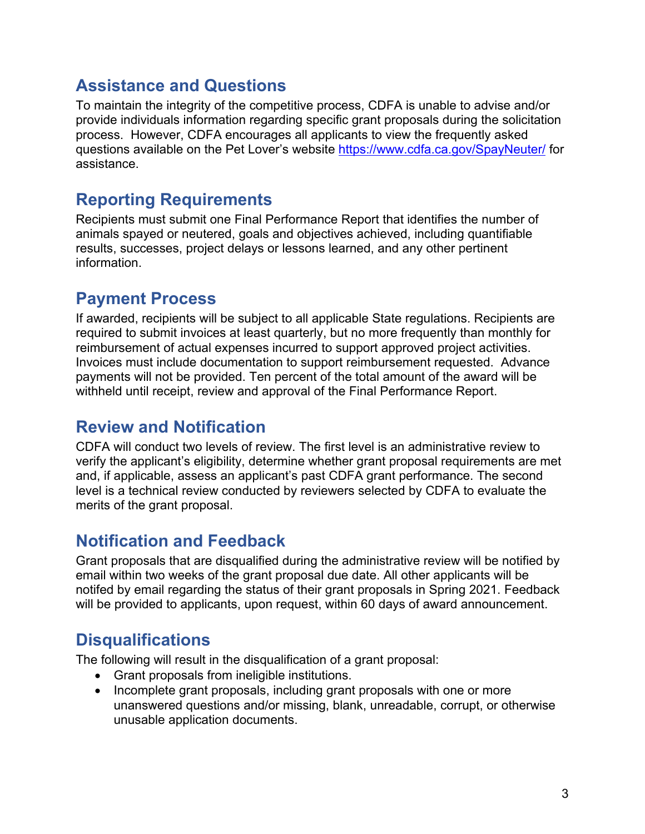### **Assistance and Questions**

To maintain the integrity of the competitive process, CDFA is unable to advise and/or provide individuals information regarding specific grant proposals during the solicitation process. However, CDFA encourages all applicants to view the frequently asked questions available on the Pet Lover's website <https://www.cdfa.ca.gov/SpayNeuter/> for assistance.

# <span id="page-4-0"></span>**Reporting Requirements**

Recipients must submit one Final Performance Report that identifies the number of animals spayed or neutered, goals and objectives achieved, including quantifiable results, successes, project delays or lessons learned, and any other pertinent information.

# <span id="page-4-1"></span>**Payment Process**

If awarded, recipients will be subject to all applicable State regulations. Recipients are required to submit invoices at least quarterly, but no more frequently than monthly for reimbursement of actual expenses incurred to support approved project activities. Invoices must include documentation to support reimbursement requested. Advance payments will not be provided. Ten percent of the total amount of the award will be withheld until receipt, review and approval of the Final Performance Report.

# <span id="page-4-2"></span>**Review and Notification**

CDFA will conduct two levels of review. The first level is an administrative review to verify the applicant's eligibility, determine whether grant proposal requirements are met and, if applicable, assess an applicant's past CDFA grant performance. The second level is a technical review conducted by reviewers selected by CDFA to evaluate the merits of the grant proposal.

### <span id="page-4-3"></span>**Notification and Feedback**

Grant proposals that are disqualified during the administrative review will be notified by email within two weeks of the grant proposal due date. All other applicants will be notifed by email regarding the status of their grant proposals in Spring 2021. Feedback will be provided to applicants, upon request, within 60 days of award announcement.

# <span id="page-4-4"></span>**Disqualifications**

The following will result in the disqualification of a grant proposal:

- Grant proposals from ineligible institutions.
- Incomplete grant proposals, including grant proposals with one or more unanswered questions and/or missing, blank, unreadable, corrupt, or otherwise unusable application documents.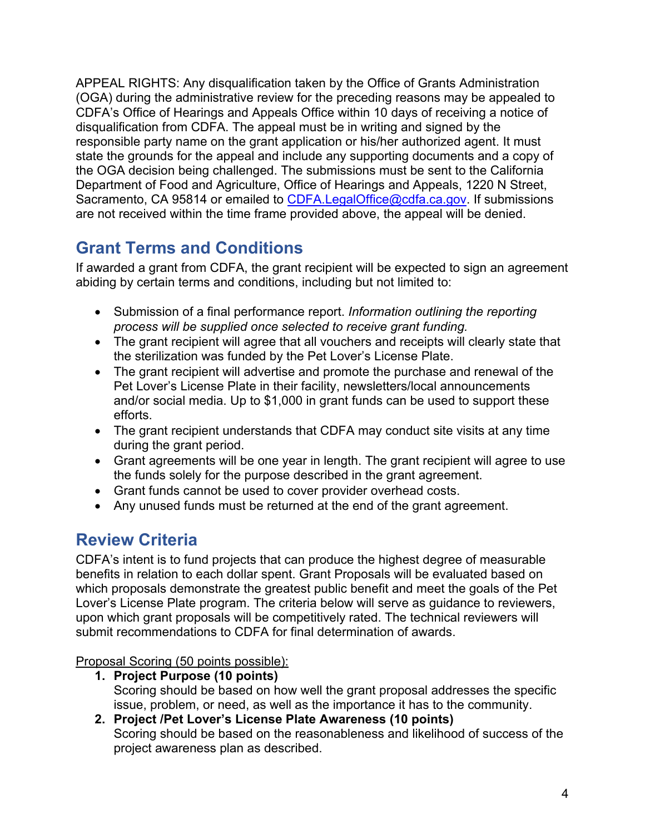APPEAL RIGHTS: Any disqualification taken by the Office of Grants Administration (OGA) during the administrative review for the preceding reasons may be appealed to CDFA's Office of Hearings and Appeals Office within 10 days of receiving a notice of disqualification from CDFA. The appeal must be in writing and signed by the responsible party name on the grant application or his/her authorized agent. It must state the grounds for the appeal and include any supporting documents and a copy of the OGA decision being challenged. The submissions must be sent to the California Department of Food and Agriculture, Office of Hearings and Appeals, 1220 N Street, Sacramento, CA 95814 or emailed to [CDFA.LegalOffice@cdfa.ca.gov.](mailto:CDFA.LegalOffice@cdfa.ca.gov) If submissions are not received within the time frame provided above, the appeal will be denied.

# <span id="page-5-0"></span>**Grant Terms and Conditions**

If awarded a grant from CDFA, the grant recipient will be expected to sign an agreement abiding by certain terms and conditions, including but not limited to:

- Submission of a final performance report. *Information outlining the reporting process will be supplied once selected to receive grant funding.*
- The grant recipient will agree that all vouchers and receipts will clearly state that the sterilization was funded by the Pet Lover's License Plate.
- The grant recipient will advertise and promote the purchase and renewal of the Pet Lover's License Plate in their facility, newsletters/local announcements and/or social media. Up to \$1,000 in grant funds can be used to support these efforts.
- The grant recipient understands that CDFA may conduct site visits at any time during the grant period.
- Grant agreements will be one year in length. The grant recipient will agree to use the funds solely for the purpose described in the grant agreement.
- Grant funds cannot be used to cover provider overhead costs.
- Any unused funds must be returned at the end of the grant agreement.

# <span id="page-5-1"></span>**Review Criteria**

CDFA's intent is to fund projects that can produce the highest degree of measurable benefits in relation to each dollar spent. Grant Proposals will be evaluated based on which proposals demonstrate the greatest public benefit and meet the goals of the Pet Lover's License Plate program. The criteria below will serve as guidance to reviewers, upon which grant proposals will be competitively rated. The technical reviewers will submit recommendations to CDFA for final determination of awards.

Proposal Scoring (50 points possible):

- **1. Project Purpose (10 points)**  Scoring should be based on how well the grant proposal addresses the specific issue, problem, or need, as well as the importance it has to the community.
- **2. Project /Pet Lover's License Plate Awareness (10 points)**  Scoring should be based on the reasonableness and likelihood of success of the project awareness plan as described.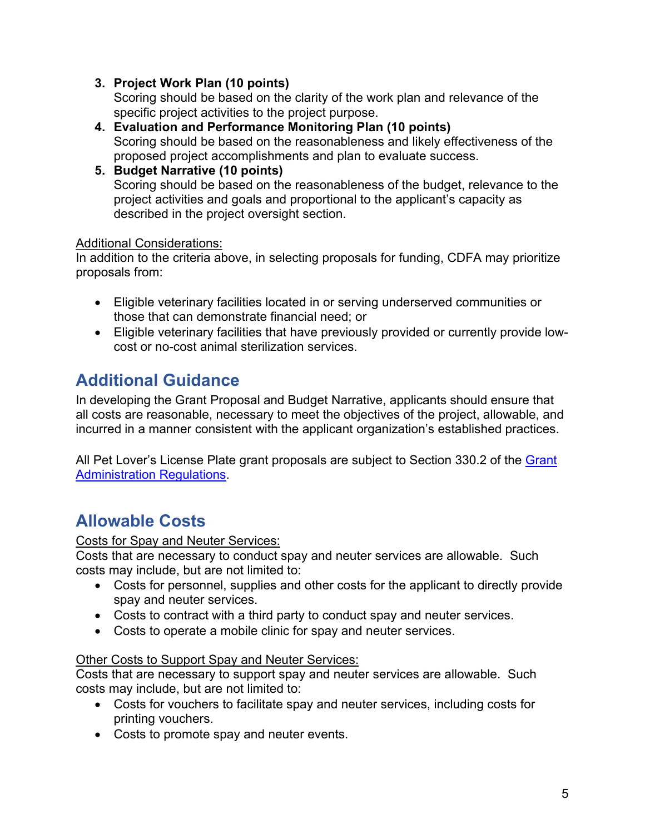### **3. Project Work Plan (10 points)**

Scoring should be based on the clarity of the work plan and relevance of the specific project activities to the project purpose.

- **4. Evaluation and Performance Monitoring Plan (10 points)** Scoring should be based on the reasonableness and likely effectiveness of the proposed project accomplishments and plan to evaluate success.
- **5. Budget Narrative (10 points)** Scoring should be based on the reasonableness of the budget, relevance to the project activities and goals and proportional to the applicant's capacity as described in the project oversight section.

### Additional Considerations:

In addition to the criteria above, in selecting proposals for funding, CDFA may prioritize proposals from:

- Eligible veterinary facilities located in or serving underserved communities or those that can demonstrate financial need; or
- Eligible veterinary facilities that have previously provided or currently provide lowcost or no-cost animal sterilization services.

# <span id="page-6-0"></span>**Additional Guidance**

In developing the Grant Proposal and Budget Narrative, applicants should ensure that all costs are reasonable, necessary to meet the objectives of the project, allowable, and incurred in a manner consistent with the applicant organization's established practices.

<span id="page-6-1"></span>All Pet Lover's License Plate grant proposals are subject to Section 330.2 of the Grant [Administration Regulations.](https://www.cdfa.ca.gov/Regulations/General/FinalGrantAdminRegs-Text.pdf)

# **Allowable Costs**

### Costs for Spay and Neuter Services:

Costs that are necessary to conduct spay and neuter services are allowable. Such costs may include, but are not limited to:

- Costs for personnel, supplies and other costs for the applicant to directly provide spay and neuter services.
- Costs to contract with a third party to conduct spay and neuter services.
- Costs to operate a mobile clinic for spay and neuter services.

### Other Costs to Support Spay and Neuter Services:

Costs that are necessary to support spay and neuter services are allowable. Such costs may include, but are not limited to:

- Costs for vouchers to facilitate spay and neuter services, including costs for printing vouchers.
- Costs to promote spay and neuter events.